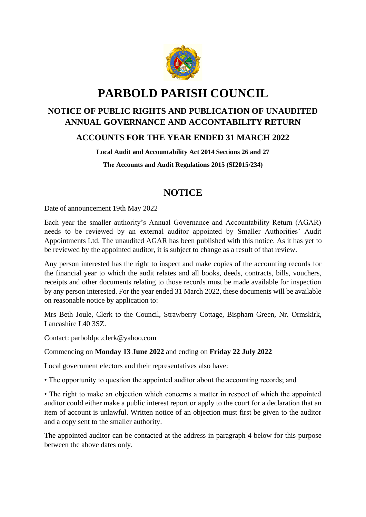

# **PARBOLD PARISH COUNCIL**

# **NOTICE OF PUBLIC RIGHTS AND PUBLICATION OF UNAUDITED ANNUAL GOVERNANCE AND ACCONTABILITY RETURN**

# **ACCOUNTS FOR THE YEAR ENDED 31 MARCH 2022**

**Local Audit and Accountability Act 2014 Sections 26 and 27**

**The Accounts and Audit Regulations 2015 (SI2015/234)**

# **NOTICE**

Date of announcement 19th May 2022

Each year the smaller authority's Annual Governance and Accountability Return (AGAR) needs to be reviewed by an external auditor appointed by Smaller Authorities' Audit Appointments Ltd. The unaudited AGAR has been published with this notice. As it has yet to be reviewed by the appointed auditor, it is subject to change as a result of that review.

Any person interested has the right to inspect and make copies of the accounting records for the financial year to which the audit relates and all books, deeds, contracts, bills, vouchers, receipts and other documents relating to those records must be made available for inspection by any person interested. For the year ended 31 March 2022, these documents will be available on reasonable notice by application to:

Mrs Beth Joule, Clerk to the Council, Strawberry Cottage, Bispham Green, Nr. Ormskirk, Lancashire L40 3SZ.

Contact: parboldpc.clerk@yahoo.com

## Commencing on **Monday 13 June 2022** and ending on **Friday 22 July 2022**

Local government electors and their representatives also have:

• The opportunity to question the appointed auditor about the accounting records; and

• The right to make an objection which concerns a matter in respect of which the appointed auditor could either make a public interest report or apply to the court for a declaration that an item of account is unlawful. Written notice of an objection must first be given to the auditor and a copy sent to the smaller authority.

The appointed auditor can be contacted at the address in paragraph 4 below for this purpose between the above dates only.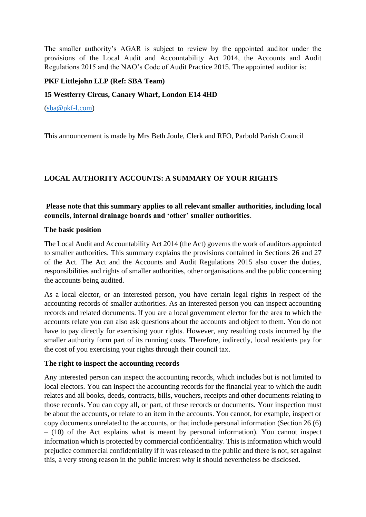The smaller authority's AGAR is subject to review by the appointed auditor under the provisions of the Local Audit and Accountability Act 2014, the Accounts and Audit Regulations 2015 and the NAO's Code of Audit Practice 2015. The appointed auditor is:

#### **PKF Littlejohn LLP (Ref: SBA Team)**

#### **15 Westferry Circus, Canary Wharf, London E14 4HD**

[\(sba@pkf-l.com\)](mailto:sba@pkf-l.com)

This announcement is made by Mrs Beth Joule, Clerk and RFO, Parbold Parish Council

# **LOCAL AUTHORITY ACCOUNTS: A SUMMARY OF YOUR RIGHTS**

## **Please note that this summary applies to all relevant smaller authorities, including local councils, internal drainage boards and 'other' smaller authorities**.

#### **The basic position**

The Local Audit and Accountability Act 2014 (the Act) governs the work of auditors appointed to smaller authorities. This summary explains the provisions contained in Sections 26 and 27 of the Act. The Act and the Accounts and Audit Regulations 2015 also cover the duties, responsibilities and rights of smaller authorities, other organisations and the public concerning the accounts being audited.

As a local elector, or an interested person, you have certain legal rights in respect of the accounting records of smaller authorities. As an interested person you can inspect accounting records and related documents. If you are a local government elector for the area to which the accounts relate you can also ask questions about the accounts and object to them. You do not have to pay directly for exercising your rights. However, any resulting costs incurred by the smaller authority form part of its running costs. Therefore, indirectly, local residents pay for the cost of you exercising your rights through their council tax.

#### **The right to inspect the accounting records**

Any interested person can inspect the accounting records, which includes but is not limited to local electors. You can inspect the accounting records for the financial year to which the audit relates and all books, deeds, contracts, bills, vouchers, receipts and other documents relating to those records. You can copy all, or part, of these records or documents. Your inspection must be about the accounts, or relate to an item in the accounts. You cannot, for example, inspect or copy documents unrelated to the accounts, or that include personal information (Section 26 (6) – (10) of the Act explains what is meant by personal information). You cannot inspect information which is protected by commercial confidentiality. This is information which would prejudice commercial confidentiality if it was released to the public and there is not, set against this, a very strong reason in the public interest why it should nevertheless be disclosed.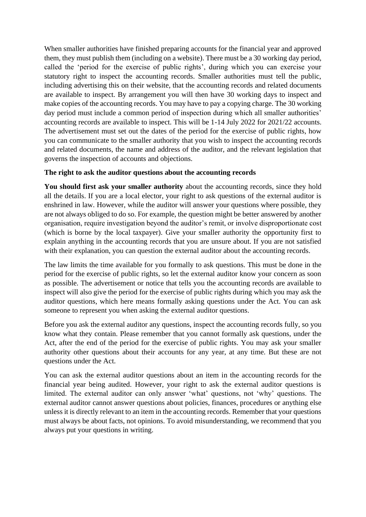When smaller authorities have finished preparing accounts for the financial year and approved them, they must publish them (including on a website). There must be a 30 working day period, called the 'period for the exercise of public rights', during which you can exercise your statutory right to inspect the accounting records. Smaller authorities must tell the public, including advertising this on their website, that the accounting records and related documents are available to inspect. By arrangement you will then have 30 working days to inspect and make copies of the accounting records. You may have to pay a copying charge. The 30 working day period must include a common period of inspection during which all smaller authorities' accounting records are available to inspect. This will be 1-14 July 2022 for 2021/22 accounts. The advertisement must set out the dates of the period for the exercise of public rights, how you can communicate to the smaller authority that you wish to inspect the accounting records and related documents, the name and address of the auditor, and the relevant legislation that governs the inspection of accounts and objections.

#### **The right to ask the auditor questions about the accounting records**

**You should first ask your smaller authority** about the accounting records, since they hold all the details. If you are a local elector, your right to ask questions of the external auditor is enshrined in law. However, while the auditor will answer your questions where possible, they are not always obliged to do so. For example, the question might be better answered by another organisation, require investigation beyond the auditor's remit, or involve disproportionate cost (which is borne by the local taxpayer). Give your smaller authority the opportunity first to explain anything in the accounting records that you are unsure about. If you are not satisfied with their explanation, you can question the external auditor about the accounting records.

The law limits the time available for you formally to ask questions. This must be done in the period for the exercise of public rights, so let the external auditor know your concern as soon as possible. The advertisement or notice that tells you the accounting records are available to inspect will also give the period for the exercise of public rights during which you may ask the auditor questions, which here means formally asking questions under the Act. You can ask someone to represent you when asking the external auditor questions.

Before you ask the external auditor any questions, inspect the accounting records fully, so you know what they contain. Please remember that you cannot formally ask questions, under the Act, after the end of the period for the exercise of public rights. You may ask your smaller authority other questions about their accounts for any year, at any time. But these are not questions under the Act.

You can ask the external auditor questions about an item in the accounting records for the financial year being audited. However, your right to ask the external auditor questions is limited. The external auditor can only answer 'what' questions, not 'why' questions. The external auditor cannot answer questions about policies, finances, procedures or anything else unless it is directly relevant to an item in the accounting records. Remember that your questions must always be about facts, not opinions. To avoid misunderstanding, we recommend that you always put your questions in writing.